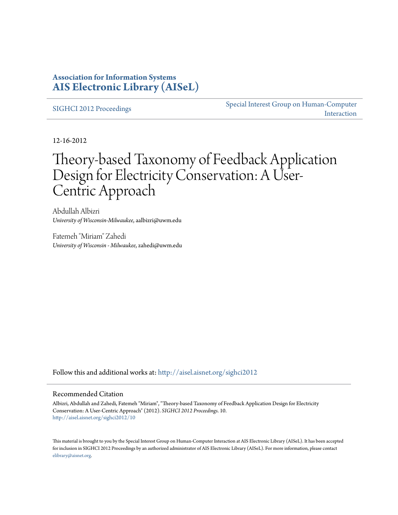### **Association for Information Systems [AIS Electronic Library \(AISeL\)](http://aisel.aisnet.org?utm_source=aisel.aisnet.org%2Fsighci2012%2F10&utm_medium=PDF&utm_campaign=PDFCoverPages)**

[SIGHCI 2012 Proceedings](http://aisel.aisnet.org/sighci2012?utm_source=aisel.aisnet.org%2Fsighci2012%2F10&utm_medium=PDF&utm_campaign=PDFCoverPages)

[Special Interest Group on Human-Computer](http://aisel.aisnet.org/sighci?utm_source=aisel.aisnet.org%2Fsighci2012%2F10&utm_medium=PDF&utm_campaign=PDFCoverPages) [Interaction](http://aisel.aisnet.org/sighci?utm_source=aisel.aisnet.org%2Fsighci2012%2F10&utm_medium=PDF&utm_campaign=PDFCoverPages)

12-16-2012

# Theory-based Taxonomy of Feedback Application Design for Electricity Conservation: A User-Centric Approach

Abdullah Albizri *University of Wisconsin-Milwaukee*, aalbizri@uwm.edu

Fatemeh "Miriam" Zahedi *University of Wisconsin - Milwaukee*, zahedi@uwm.edu

Follow this and additional works at: [http://aisel.aisnet.org/sighci2012](http://aisel.aisnet.org/sighci2012?utm_source=aisel.aisnet.org%2Fsighci2012%2F10&utm_medium=PDF&utm_campaign=PDFCoverPages)

#### Recommended Citation

Albizri, Abdullah and Zahedi, Fatemeh "Miriam", "Theory-based Taxonomy of Feedback Application Design for Electricity Conservation: A User-Centric Approach" (2012). *SIGHCI 2012 Proceedings*. 10. [http://aisel.aisnet.org/sighci2012/10](http://aisel.aisnet.org/sighci2012/10?utm_source=aisel.aisnet.org%2Fsighci2012%2F10&utm_medium=PDF&utm_campaign=PDFCoverPages)

This material is brought to you by the Special Interest Group on Human-Computer Interaction at AIS Electronic Library (AISeL). It has been accepted for inclusion in SIGHCI 2012 Proceedings by an authorized administrator of AIS Electronic Library (AISeL). For more information, please contact [elibrary@aisnet.org.](mailto:elibrary@aisnet.org%3E)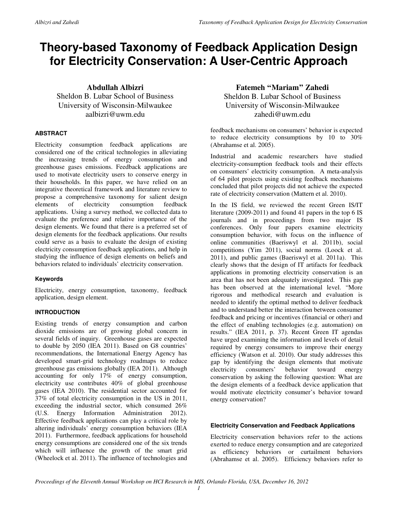## **Theory-based Taxonomy of Feedback Application Design for Electricity Conservation: A User-Centric Approach**

**Abdullah Albizri**  Sheldon B. Lubar School of Business University of Wisconsin-Milwaukee aalbizri@uwm.edu

#### **ABSTRACT**

Electricity consumption feedback applications are considered one of the critical technologies in alleviating the increasing trends of energy consumption and greenhouse gases emissions. Feedback applications are used to motivate electricity users to conserve energy in their households. In this paper, we have relied on an integrative theoretical framework and literature review to propose a comprehensive taxonomy for salient design elements of electricity consumption feedback applications. Using a survey method, we collected data to evaluate the preference and relative importance of the design elements. We found that there is a preferred set of design elements for the feedback applications. Our results could serve as a basis to evaluate the design of existing electricity consumption feedback applications, and help in studying the influence of design elements on beliefs and behaviors related to individuals' electricity conservation.

#### **Keywords**

Electricity, energy consumption, taxonomy, feedback application, design element.

#### **INTRODUCTION**

Existing trends of energy consumption and carbon dioxide emissions are of growing global concern in several fields of inquiry. Greenhouse gases are expected to double by 2050 (IEA 2011). Based on G8 countries' recommendations, the International Energy Agency has developed smart-grid technology roadmaps to reduce greenhouse gas emissions globally (IEA 2011). Although accounting for only 17% of energy consumption, electricity use contributes 40% of global greenhouse gases (IEA 2010). The residential sector accounted for 37% of total electricity consumption in the US in 2011, exceeding the industrial sector, which consumed 26% (U.S. Energy Information Administration 2012). Effective feedback applications can play a critical role by altering individuals' energy consumption behaviors (IEA 2011). Furthermore, feedback applications for household energy consumptions are considered one of the six trends which will influence the growth of the smart grid (Wheelock et al. 2011). The influence of technologies and

#### **Fatemeh ''Mariam'' Zahedi**  Sheldon B. Lubar School of Business University of Wisconsin-Milwaukee zahedi@uwm.edu

feedback mechanisms on consumers' behavior is expected to reduce electricity consumptions by 10 to 30% (Abrahamse et al. 2005).

Industrial and academic researchers have studied electricity-consumption feedback tools and their effects on consumers' electricity consumption. A meta-analysis of 64 pilot projects using existing feedback mechanisms concluded that pilot projects did not achieve the expected rate of electricity conservation (Mattern et al. 2010).

In the IS field, we reviewed the recent Green IS/IT literature (2009-2011) and found 41 papers in the top 6 IS journals and in proceedings from two major IS conferences. Only four papers examine electricity consumption behavior, with focus on the influence of online communities (Baeriswyl et al. 2011b), social competitions (Yim 2011), social norms (Loock et al. 2011), and public games (Baeriswyl et al. 2011a). This clearly shows that the design of IT artifacts for feedback applications in promoting electricity conservation is an area that has not been adequately investigated. This gap has been observed at the international level. "More rigorous and methodical research and evaluation is needed to identify the optimal method to deliver feedback and to understand better the interaction between consumer feedback and pricing or incentives (financial or other) and the effect of enabling technologies (e.g. automation) on results." (IEA 2011, p. 37). Recent Green IT agendas have urged examining the information and levels of detail required by energy consumers to improve their energy efficiency (Watson et al. 2010). Our study addresses this gap by identifying the design elements that motivate electricity consumers' behavior toward energy conservation by asking the following question: What are the design elements of a feedback device application that would motivate electricity consumer's behavior toward energy conservation?

#### **Electricity Conservation and Feedback Applications**

Electricity conservation behaviors refer to the actions exerted to reduce energy consumption and are categorized as efficiency behaviors or curtailment behaviors (Abrahamse et al. 2005). Efficiency behaviors refer to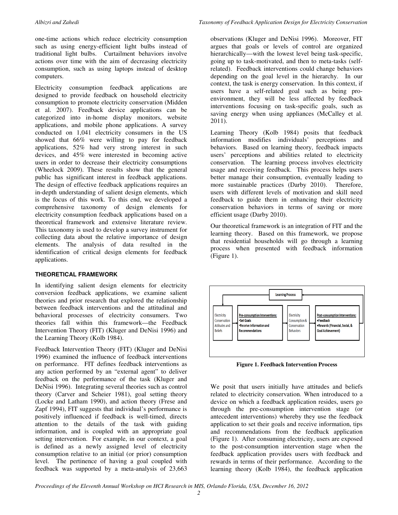one-time actions which reduce electricity consumption such as using energy-efficient light bulbs instead of traditional light bulbs. Curtailment behaviors involve actions over time with the aim of decreasing electricity consumption, such as using laptops instead of desktop computers.

Electricity consumption feedback applications are designed to provide feedback on household electricity consumption to promote electricity conservation (Midden et al. 2007). Feedback device applications can be categorized into in-home display monitors, website applications, and mobile phone applications. A survey conducted on 1,041 electricity consumers in the US showed that 66% were willing to pay for feedback applications, 52% had very strong interest in such devices, and 45% were interested in becoming active users in order to decrease their electricity consumptions (Wheelock 2009). These results show that the general public has significant interest in feedback applications. The design of effective feedback applications requires an in-depth understanding of salient design elements, which is the focus of this work. To this end, we developed a comprehensive taxonomy of design elements for electricity consumption feedback applications based on a theoretical framework and extensive literature review. This taxonomy is used to develop a survey instrument for collecting data about the relative importance of design elements. The analysis of data resulted in the identification of critical design elements for feedback applications.

#### **THEORETICAL FRAMEWORK**

In identifying salient design elements for electricity conversion feedback applications, we examine salient theories and prior research that explored the relationship between feedback interventions and the attitudinal and behavioral processes of electricity consumers. Two theories fall within this framework—the Feedback Intervention Theory (FIT) (Kluger and DeNisi 1996) and the Learning Theory (Kolb 1984).

Feedback Intervention Theory (FIT) (Kluger and DeNisi 1996) examined the influence of feedback interventions on performance. FIT defines feedback interventions as any action performed by an "external agent" to deliver feedback on the performance of the task (Kluger and DeNisi 1996). Integrating several theories such as control theory (Carver and Scheier 1981), goal setting theory (Locke and Latham 1990), and action theory (Frese and Zapf 1994), FIT suggests that individual's performance is positively influenced if feedback is well-timed, directs attention to the details of the task with guiding information, and is coupled with an appropriate goal setting intervention. For example, in our context, a goal is defined as a newly assigned level of electricity consumption relative to an initial (or prior) consumption level. The pertinence of having a goal coupled with feedback was supported by a meta-analysis of 23,663

observations (Kluger and DeNisi 1996). Moreover, FIT argues that goals or levels of control are organized hierarchically—with the lowest level being task-specific, going up to task-motivated, and then to meta-tasks (selfrelated). Feedback interventions could change behaviors depending on the goal level in the hierarchy. In our context, the task is energy conservation. In this context, if users have a self-related goal such as being proenvironment, they will be less affected by feedback interventions focusing on task-specific goals, such as saving energy when using appliances (McCalley et al. 2011).

Learning Theory (Kolb 1984) posits that feedback information modifies individuals' perceptions and behaviors. Based on learning theory, feedback impacts users' perceptions and abilities related to electricity conservation. The learning process involves electricity usage and receiving feedback. This process helps users better manage their consumption, eventually leading to more sustainable practices (Darby 2010). Therefore, users with different levels of motivation and skill need feedback to guide them in enhancing their electricity conservation behaviors in terms of saving or more efficient usage (Darby 2010).

Our theoretical framework is an integration of FIT and the learning theory. Based on this framework, we propose that residential households will go through a learning process when presented with feedback information (Figure 1).



**Figure 1. Feedback Intervention Process** 

We posit that users initially have attitudes and beliefs related to electricity conservation. When introduced to a device on which a feedback application resides, users go through the pre-consumption intervention stage (or antecedent interventions) whereby they use the feedback application to set their goals and receive information, tips and recommendations from the feedback application (Figure 1). After consuming electricity, users are exposed to the post-consumption intervention stage when the feedback application provides users with feedback and rewards in terms of their performance. According to the learning theory (Kolb 1984), the feedback application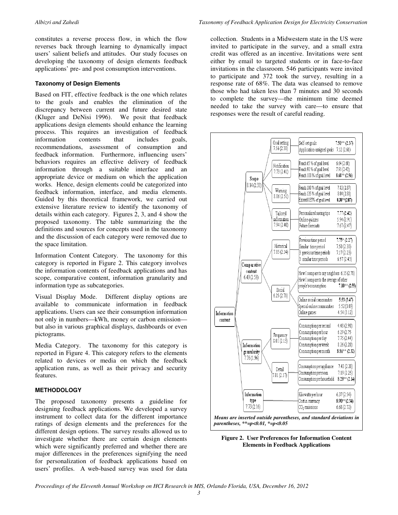constitutes a reverse process flow, in which the flow reverses back through learning to dynamically impact users' salient beliefs and attitudes. Our study focuses on developing the taxonomy of design elements feedback applications' pre- and post consumption interventions.

#### **Taxonomy of Design Elements**

Based on FIT, effective feedback is the one which relates to the goals and enables the elimination of the discrepancy between current and future desired state (Kluger and DeNisi 1996). We posit that feedback applications design elements should enhance the learning process. This requires an investigation of feedback information contents that includes goals, recommendations, assessment of consumption and feedback information. Furthermore, influencing users' behaviors requires an effective delivery of feedback information through a suitable interface and an appropriate device or medium on which the application works. Hence, design elements could be categorized into feedback information, interface, and media elements. Guided by this theoretical framework, we carried out extensive literature review to identify the taxonomy of details within each category. Figures 2, 3, and 4 show the proposed taxonomy. The table summarizing the the definitions and sources for concepts used in the taxonomy and the discussion of each category were removed due to the space limitation.

Information Content Category. The taxonomy for this category is reported in Figure 2. This category involves the information contents of feedback applications and has scope, comparative content, information granularity and information type as subcategories.

Visual Display Mode. Different display options are available to communicate information in feedback applications. Users can see their consumption information not only in numbers—kWh, money or carbon emission but also in various graphical displays, dashboards or even pictograms.

Media Category. The taxonomy for this category is reported in Figure 4. This category refers to the elements related to devices or media on which the feedback application runs, as well as their privacy and security features.

#### **METHODOLOGY**

The proposed taxonomy presents a guideline for designing feedback applications. We developed a survey instrument to collect data for the different importance ratings of design elements and the preferences for the different design options. The survey results allowed us to investigate whether there are certain design elements which were significantly preferred and whether there are major differences in the preferences signifying the need for personalization of feedback applications based on users' profiles. A web-based survey was used for data

collection. Students in a Midwestern state in the US were invited to participate in the survey, and a small extra credit was offered as an incentive. Invitations were sent either by email to targeted students or in face-to-face invitations in the classroom. 546 participants were invited to participate and 372 took the survey, resulting in a response rate of 68%. The data was cleansed to remove those who had taken less than 7 minutes and 30 seconds to complete the survey—the minimum time deemed needed to take the survey with care—to ensure that responses were the result of careful reading.





*Proceedings of the Eleventh Annual Workshop on HCI Research in MIS, Orlando Florida, USA, December 16, 2012*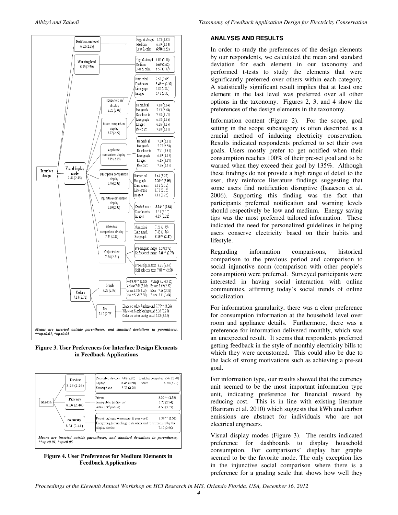

**Figure 3. User Preferences for Interface Design Elements in Feedback Applications** 



**Figure 4. User Preferences for Medium Elements in Feedback Applications** 

#### **ANALYSIS AND RESULTS**

In order to study the preferences of the design elements by our respondents, we calculated the mean and standard deviation for each element in our taxonomy and performed t-tests to study the elements that were significantly preferred over others within each category. A statistically significant result implies that at least one element in the last level was preferred over all other options in the taxonomy. Figures 2, 3, and 4 show the preferences of the design elements in the taxonomy.

Information content (Figure 2). For the scope, goal setting in the scope subcategory is often described as a crucial method of inducing electricity conservation. Results indicated respondents preferred to set their own goals. Users mostly prefer to get notified when their consumption reaches 100% of their pre-set goal and to be warned when they exceed their goal by 135%. Although these findings do not provide a high range of detail to the user, they reinforce literature findings suggesting that some users find notification disruptive (Isaacson et al. 2006). Supporting this finding was the fact that participants preferred notification and warning levels should respectively be low and medium. Energy saving tips was the most preferred tailored information. These indicated the need for personalized guidelines in helping users conserve electricity based on their habits and lifestyle.

Regarding information comparisons, historical comparison to the previous period and comparison to social injunctive norm (comparison with other people's consumption) were preferred. Surveyed participants were interested in having social interaction with online communities, affirming today's social trends of online socialization.

For information granularity, there was a clear preference for consumption information at the household level over room and appliance details. Furthermore, there was a preference for information delivered monthly, which was an unexpected result. It seems that respondents preferred getting feedback in the style of monthly electricity bills to which they were accustomed. This could also be due to the lack of strong motivations such as achieving a pre-set goal.

For information type, our results showed that the currency unit seemed to be the most important information type unit, indicating preference for financial reward by reducing cost. This is in line with existing literature (Bartram et al. 2010) which suggests that kWh and carbon emissions are abstract for individuals who are not electrical engineers.

Visual display modes (Figure 3). The results indicated preference for dashboards to display household consumption. For comparisons' display bar graphs seemed to be the favorite mode. The only exception lies in the injunctive social comparison where there is a preference for a grading scale that shows how well they

*Proceedings of the Eleventh Annual Workshop on HCI Research in MIS, Orlando Florida, USA, December 16, 2012*